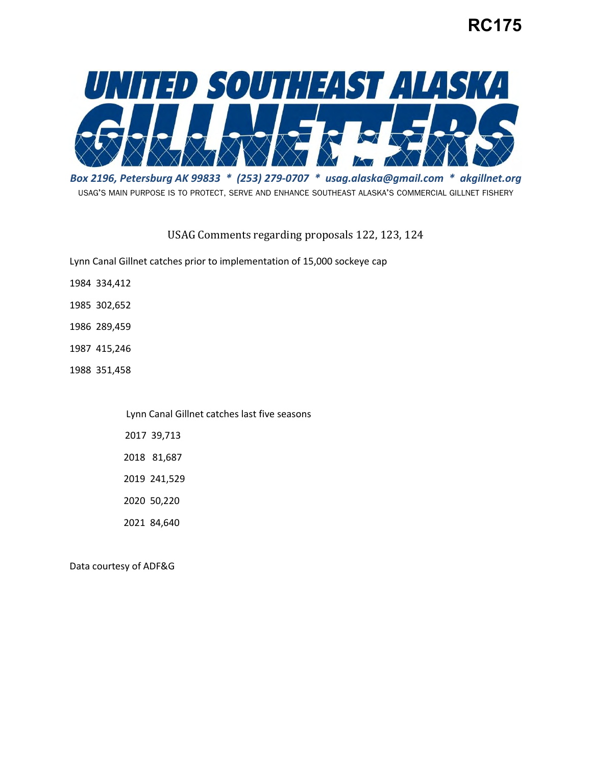## **RC175**



 *Box 2196, Petersburg AK 99833 \* (253) 279-0707 \* [usag.alaska@gmail.com](mailto:usag.alaska@gmail.com) \* [akgillnet.org](https://akgillnet.org)*  USAG'S MAIN PURPOSE IS TO PROTECT, SERVE AND ENHANCE SOUTHEAST ALASKA'S COMMERCIAL GILLNET FISHERY

USAG Comments regarding proposals 122, 123, 124

Lynn Canal Gillnet catches prior to implementation of 15,000 sockeye cap

- 1984 334,412
- 1985 302,652
- 1986 289,459
- 1987 415,246
- 1988 351,458

Lynn Canal Gillnet catches last five seasons

2017 39,713

2018 81,687

2019 241,529

2020 50,220

2021 84,640

Data courtesy of ADF&G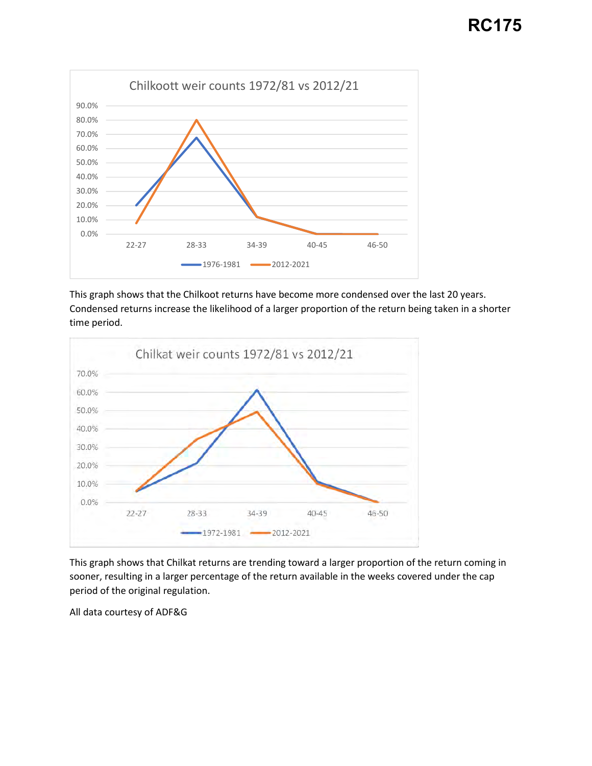

This graph shows that the Chilkoot returns have become more condensed over the last 20 years. Condensed returns increase the likelihood of a larger proportion of the return being taken in a shorter time period.



This graph shows that Chilkat returns are trending toward a larger proportion of the return coming in sooner, resulting in a larger percentage of the return available in the weeks covered under the cap period of the original regulation.

All data courtesy of ADF&G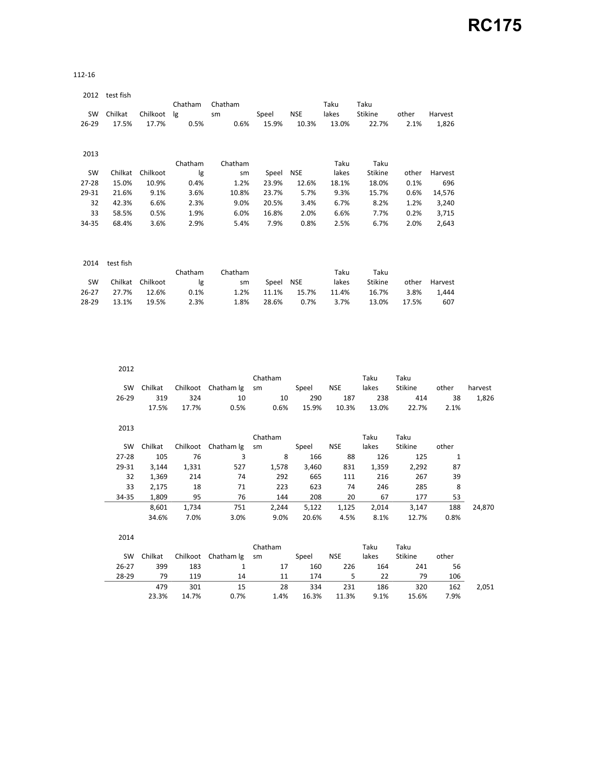112-16

|           | 2012 test fish |          |         |         |       |            |       |         |       |         |
|-----------|----------------|----------|---------|---------|-------|------------|-------|---------|-------|---------|
|           |                |          | Chatham | Chatham |       |            | Taku  | Taku    |       |         |
| SW        | Chilkat        | Chilkoot | lg      | sm      | Speel | <b>NSE</b> | lakes | Stikine | other | Harvest |
| $26 - 29$ | 17.5%          | 17.7%    | 0.5%    | 0.6%    | 15.9% | 10.3%      | 13.0% | 22.7%   | 2.1%  | 1,826   |
| 2013      |                |          |         |         |       |            |       |         |       |         |
|           |                |          | Chatham | Chatham |       |            | Taku  | Taku    |       |         |
| SW        | Chilkat        | Chilkoot | lg      | sm      | Speel | NSE        | lakes | Stikine | other | Harvest |
| 27-28     | 15.0%          | 10.9%    | 0.4%    | 1.2%    | 23.9% | 12.6%      | 18.1% | 18.0%   | 0.1%  | 696     |
| 29-31     | 21.6%          | 9.1%     | 3.6%    | 10.8%   | 23.7% | 5.7%       | 9.3%  | 15.7%   | 0.6%  | 14,576  |
| 32        | 42.3%          | 6.6%     | 2.3%    | 9.0%    | 20.5% | 3.4%       | 6.7%  | 8.2%    | 1.2%  | 3,240   |
| 33        | 58.5%          | 0.5%     | 1.9%    | 6.0%    | 16.8% | 2.0%       | 6.6%  | 7.7%    | 0.2%  | 3,715   |
| 34-35     | 68.4%          | 3.6%     | 2.9%    | 5.4%    | 7.9%  | 0.8%       | 2.5%  | 6.7%    | 2.0%  | 2,643   |
|           |                |          |         |         |       |            |       |         |       |         |
| 2014      | test fish      |          |         |         |       |            |       |         |       |         |
|           |                |          | Chatham | Chatham |       |            | Taku  | Taku    |       |         |
| SW        | Chilkat        | Chilkoot | lg      | sm      | Speel | <b>NSE</b> | lakes | Stikine | other | Harvest |
| $26 - 27$ | 27.7%          | 12.6%    | 0.1%    | 1.2%    | 11.1% | 15.7%      | 11.4% | 16.7%   | 3.8%  | 1,444   |
| 28-29     | 13.1%          | 19.5%    | 2.3%    | 1.8%    | 28.6% | 0.7%       | 3.7%  | 13.0%   | 17.5% | 607     |

| 2012      |         |          |                     |         |       |            |       |                |       |         |
|-----------|---------|----------|---------------------|---------|-------|------------|-------|----------------|-------|---------|
|           |         |          |                     | Chatham |       |            | Taku  | Taku           |       |         |
| <b>SW</b> | Chilkat | Chilkoot | Chatham Ig          | sm      | Speel | <b>NSE</b> | lakes | Stikine        | other | harvest |
| 26-29     | 319     | 324      | 10                  | 10      | 290   | 187        | 238   | 414            | 38    | 1,826   |
|           | 17.5%   | 17.7%    | 0.5%                | 0.6%    | 15.9% | 10.3%      | 13.0% | 22.7%          | 2.1%  |         |
| 2013      |         |          |                     |         |       |            |       |                |       |         |
|           |         |          |                     | Chatham |       |            | Taku  | Taku           |       |         |
| SW        | Chilkat |          | Chilkoot Chatham Ig | sm      | Speel | <b>NSE</b> | lakes | Stikine        | other |         |
| 27-28     | 105     | 76       | 3                   | 8       | 166   | 88         | 126   | 125            | 1     |         |
| 29-31     | 3,144   | 1,331    | 527                 | 1,578   | 3,460 | 831        | 1,359 | 2,292          | 87    |         |
| 32        | 1,369   | 214      | 74                  | 292     | 665   | 111        | 216   | 267            | 39    |         |
| 33        | 2,175   | 18       | 71                  | 223     | 623   | 74         | 246   | 285            | 8     |         |
| 34-35     | 1,809   | 95       | 76                  | 144     | 208   | 20         | 67    | 177            | 53    |         |
|           | 8,601   | 1,734    | 751                 | 2,244   | 5,122 | 1,125      | 2,014 | 3,147          | 188   | 24,870  |
|           | 34.6%   | 7.0%     | 3.0%                | 9.0%    | 20.6% | 4.5%       | 8.1%  | 12.7%          | 0.8%  |         |
| 2014      |         |          |                     |         |       |            |       |                |       |         |
|           |         |          |                     | Chatham |       |            | Taku  | Taku           |       |         |
| SW        | Chilkat | Chilkoot | Chatham Ig          | sm      | Speel | <b>NSE</b> | lakes | <b>Stikine</b> | other |         |
| $26 - 27$ | 399     | 183      | $\mathbf{1}$        | 17      | 160   | 226        | 164   | 241            | 56    |         |
| 28-29     | 79      | 119      | 14                  | 11      | 174   | 5          | 22    | 79             | 106   |         |
|           | 479     | 301      | 15                  | 28      | 334   | 231        | 186   | 320            | 162   | 2,051   |

23.3% 14.7% 0.7% 1.4% 16.3% 11.3% 9.1% 15.6% 7.9%